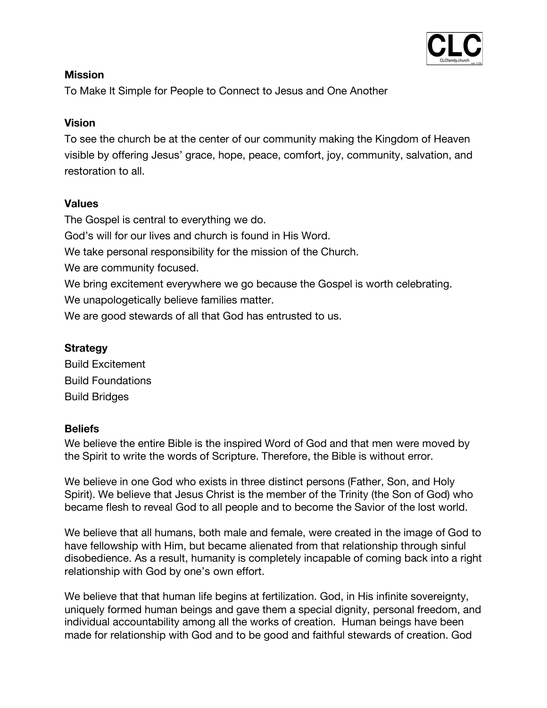

## **Mission**

To Make It Simple for People to Connect to Jesus and One Another

## **Vision**

To see the church be at the center of our community making the Kingdom of Heaven visible by offering Jesus' grace, hope, peace, comfort, joy, community, salvation, and restoration to all.

# **Values**

The Gospel is central to everything we do.

God's will for our lives and church is found in His Word.

We take personal responsibility for the mission of the Church.

We are community focused.

We bring excitement everywhere we go because the Gospel is worth celebrating.

We unapologetically believe families matter.

We are good stewards of all that God has entrusted to us.

## **Strategy**

Build Excitement Build Foundations Build Bridges

#### **Beliefs**

We believe the entire Bible is the inspired Word of God and that men were moved by the Spirit to write the words of Scripture. Therefore, the Bible is without error.

We believe in one God who exists in three distinct persons (Father, Son, and Holy Spirit). We believe that Jesus Christ is the member of the Trinity (the Son of God) who became flesh to reveal God to all people and to become the Savior of the lost world.

We believe that all humans, both male and female, were created in the image of God to have fellowship with Him, but became alienated from that relationship through sinful disobedience. As a result, humanity is completely incapable of coming back into a right relationship with God by one's own effort.

We believe that that human life begins at fertilization. God, in His infinite sovereignty, uniquely formed human beings and gave them a special dignity, personal freedom, and individual accountability among all the works of creation. Human beings have been made for relationship with God and to be good and faithful stewards of creation. God